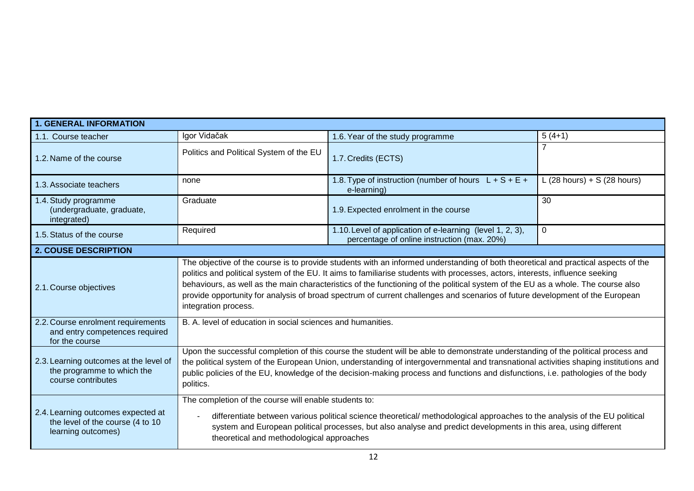| <b>1. GENERAL INFORMATION</b>                                                                |                                                                                                                                                                                                                                                                                                                                                                                                                                                                                                                                                                 |                                                                                                          |                             |  |  |
|----------------------------------------------------------------------------------------------|-----------------------------------------------------------------------------------------------------------------------------------------------------------------------------------------------------------------------------------------------------------------------------------------------------------------------------------------------------------------------------------------------------------------------------------------------------------------------------------------------------------------------------------------------------------------|----------------------------------------------------------------------------------------------------------|-----------------------------|--|--|
| 1.1. Course teacher                                                                          | Igor Vidačak                                                                                                                                                                                                                                                                                                                                                                                                                                                                                                                                                    | 1.6. Year of the study programme                                                                         | $5(4+1)$                    |  |  |
| 1.2. Name of the course                                                                      | Politics and Political System of the EU                                                                                                                                                                                                                                                                                                                                                                                                                                                                                                                         | 1.7. Credits (ECTS)                                                                                      |                             |  |  |
| 1.3. Associate teachers                                                                      | none                                                                                                                                                                                                                                                                                                                                                                                                                                                                                                                                                            | 1.8. Type of instruction (number of hours $L + S + E +$<br>e-learning)                                   | L (28 hours) + S (28 hours) |  |  |
| 1.4. Study programme<br>(undergraduate, graduate,<br>integrated)                             | Graduate                                                                                                                                                                                                                                                                                                                                                                                                                                                                                                                                                        | 1.9. Expected enrolment in the course                                                                    | 30                          |  |  |
| 1.5. Status of the course                                                                    | Required                                                                                                                                                                                                                                                                                                                                                                                                                                                                                                                                                        | 1.10. Level of application of e-learning (level 1, 2, 3),<br>percentage of online instruction (max. 20%) | $\mathbf{0}$                |  |  |
| 2. COUSE DESCRIPTION                                                                         |                                                                                                                                                                                                                                                                                                                                                                                                                                                                                                                                                                 |                                                                                                          |                             |  |  |
| 2.1. Course objectives                                                                       | The objective of the course is to provide students with an informed understanding of both theoretical and practical aspects of the<br>politics and political system of the EU. It aims to familiarise students with processes, actors, interests, influence seeking<br>behaviours, as well as the main characteristics of the functioning of the political system of the EU as a whole. The course also<br>provide opportunity for analysis of broad spectrum of current challenges and scenarios of future development of the European<br>integration process. |                                                                                                          |                             |  |  |
| 2.2. Course enrolment requirements<br>and entry competences required<br>for the course       | B. A. level of education in social sciences and humanities.                                                                                                                                                                                                                                                                                                                                                                                                                                                                                                     |                                                                                                          |                             |  |  |
| 2.3. Learning outcomes at the level of<br>the programme to which the<br>course contributes   | Upon the successful completion of this course the student will be able to demonstrate understanding of the political process and<br>the political system of the European Union, understanding of intergovernmental and transnational activities shaping institutions and<br>public policies of the EU, knowledge of the decision-making process and functions and disfunctions, i.e. pathologies of the body<br>politics.                                                                                                                                       |                                                                                                          |                             |  |  |
| 2.4. Learning outcomes expected at<br>the level of the course (4 to 10<br>learning outcomes) | The completion of the course will enable students to:<br>differentiate between various political science theoretical/ methodological approaches to the analysis of the EU political<br>system and European political processes, but also analyse and predict developments in this area, using different<br>theoretical and methodological approaches                                                                                                                                                                                                            |                                                                                                          |                             |  |  |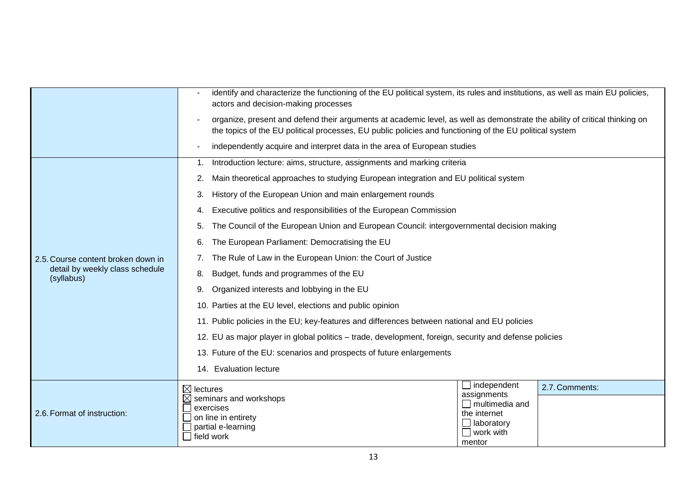|                                                                                     | identify and characterize the functioning of the EU political system, its rules and institutions, as well as main EU policies,<br>actors and decision-making processes                                                                |                                      |  |  |  |
|-------------------------------------------------------------------------------------|---------------------------------------------------------------------------------------------------------------------------------------------------------------------------------------------------------------------------------------|--------------------------------------|--|--|--|
|                                                                                     | organize, present and defend their arguments at academic level, as well as demonstrate the ability of critical thinking on<br>the topics of the EU political processes, EU public policies and functioning of the EU political system |                                      |  |  |  |
|                                                                                     | independently acquire and interpret data in the area of European studies                                                                                                                                                              |                                      |  |  |  |
| 2.5. Course content broken down in<br>detail by weekly class schedule<br>(syllabus) | Introduction lecture: aims, structure, assignments and marking criteria<br>1.                                                                                                                                                         |                                      |  |  |  |
|                                                                                     | Main theoretical approaches to studying European integration and EU political system                                                                                                                                                  |                                      |  |  |  |
|                                                                                     | History of the European Union and main enlargement rounds<br>3.                                                                                                                                                                       |                                      |  |  |  |
|                                                                                     | Executive politics and responsibilities of the European Commission                                                                                                                                                                    |                                      |  |  |  |
|                                                                                     | The Council of the European Union and European Council: intergovernmental decision making                                                                                                                                             |                                      |  |  |  |
|                                                                                     | The European Parliament: Democratising the EU<br>6.                                                                                                                                                                                   |                                      |  |  |  |
|                                                                                     | The Rule of Law in the European Union: the Court of Justice                                                                                                                                                                           |                                      |  |  |  |
|                                                                                     | Budget, funds and programmes of the EU<br>8.                                                                                                                                                                                          |                                      |  |  |  |
|                                                                                     | Organized interests and lobbying in the EU<br>9.                                                                                                                                                                                      |                                      |  |  |  |
|                                                                                     | 10. Parties at the EU level, elections and public opinion                                                                                                                                                                             |                                      |  |  |  |
|                                                                                     | 11. Public policies in the EU; key-features and differences between national and EU policies                                                                                                                                          |                                      |  |  |  |
|                                                                                     | 12. EU as major player in global politics – trade, development, foreign, security and defense policies                                                                                                                                |                                      |  |  |  |
|                                                                                     | 13. Future of the EU: scenarios and prospects of future enlargements                                                                                                                                                                  |                                      |  |  |  |
|                                                                                     | 14. Evaluation lecture                                                                                                                                                                                                                |                                      |  |  |  |
| 2.6. Format of instruction:                                                         | $\boxtimes$ lectures                                                                                                                                                                                                                  | $\Box$ independent<br>2.7. Comments: |  |  |  |
|                                                                                     | $\boxtimes$ seminars and workshops<br>exercises                                                                                                                                                                                       | assignments<br>$\Box$ multimedia and |  |  |  |
|                                                                                     | $\Box$ on line in entirety                                                                                                                                                                                                            | the internet<br>$\Box$ laboratory    |  |  |  |
|                                                                                     | $\Box$ partial e-learning<br>$\Box$ field work                                                                                                                                                                                        | $\Box$ work with                     |  |  |  |
|                                                                                     |                                                                                                                                                                                                                                       | mentor                               |  |  |  |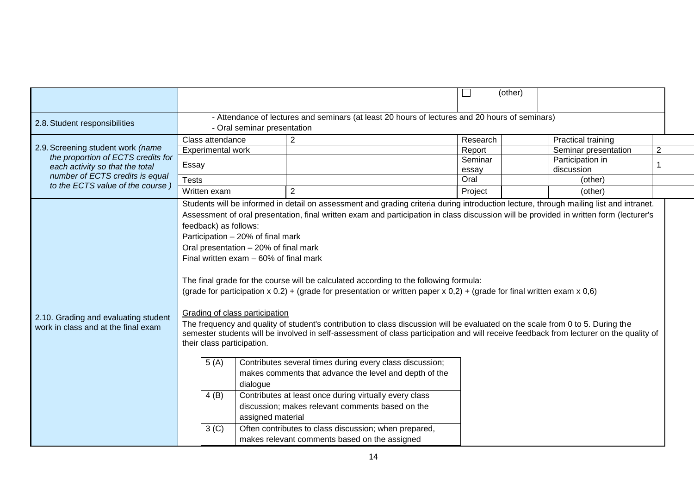|                                                                                                                                               |                                                                                                                                                                                                                                                                                                                                                                                                                                                                                                                                                                                                                                                                                                                                                                                                                                                                                                                                                                                                                                                                                                                                                                                                                                                                                                                                                                            |                                                                                                | (other)                       |                                                                       |                |
|-----------------------------------------------------------------------------------------------------------------------------------------------|----------------------------------------------------------------------------------------------------------------------------------------------------------------------------------------------------------------------------------------------------------------------------------------------------------------------------------------------------------------------------------------------------------------------------------------------------------------------------------------------------------------------------------------------------------------------------------------------------------------------------------------------------------------------------------------------------------------------------------------------------------------------------------------------------------------------------------------------------------------------------------------------------------------------------------------------------------------------------------------------------------------------------------------------------------------------------------------------------------------------------------------------------------------------------------------------------------------------------------------------------------------------------------------------------------------------------------------------------------------------------|------------------------------------------------------------------------------------------------|-------------------------------|-----------------------------------------------------------------------|----------------|
| 2.8. Student responsibilities                                                                                                                 | - Oral seminar presentation                                                                                                                                                                                                                                                                                                                                                                                                                                                                                                                                                                                                                                                                                                                                                                                                                                                                                                                                                                                                                                                                                                                                                                                                                                                                                                                                                | - Attendance of lectures and seminars (at least 20 hours of lectures and 20 hours of seminars) |                               |                                                                       |                |
| 2.9. Screening student work (name<br>the proportion of ECTS credits for<br>each activity so that the total<br>number of ECTS credits is equal | Class attendance<br>Experimental work                                                                                                                                                                                                                                                                                                                                                                                                                                                                                                                                                                                                                                                                                                                                                                                                                                                                                                                                                                                                                                                                                                                                                                                                                                                                                                                                      | 2                                                                                              | Research<br>Report<br>Seminar | <b>Practical training</b><br>Seminar presentation<br>Participation in | $\overline{2}$ |
|                                                                                                                                               | Essay<br><b>Tests</b>                                                                                                                                                                                                                                                                                                                                                                                                                                                                                                                                                                                                                                                                                                                                                                                                                                                                                                                                                                                                                                                                                                                                                                                                                                                                                                                                                      |                                                                                                | essay<br>Oral                 | discussion<br>(other)                                                 |                |
| to the ECTS value of the course)                                                                                                              | Written exam                                                                                                                                                                                                                                                                                                                                                                                                                                                                                                                                                                                                                                                                                                                                                                                                                                                                                                                                                                                                                                                                                                                                                                                                                                                                                                                                                               | $\overline{2}$                                                                                 | Project                       | (other)                                                               |                |
| 2.10. Grading and evaluating student<br>work in class and at the final exam                                                                   | Students will be informed in detail on assessment and grading criteria during introduction lecture, through mailing list and intranet.<br>Assessment of oral presentation, final written exam and participation in class discussion will be provided in written form (lecturer's<br>feedback) as follows:<br>Participation - 20% of final mark<br>Oral presentation - 20% of final mark<br>Final written exam - 60% of final mark<br>The final grade for the course will be calculated according to the following formula:<br>(grade for participation $x$ 0.2) + (grade for presentation or written paper $x$ 0,2) + (grade for final written exam $x$ 0,6)<br>Grading of class participation<br>The frequency and quality of student's contribution to class discussion will be evaluated on the scale from 0 to 5. During the<br>semester students will be involved in self-assessment of class participation and will receive feedback from lecturer on the quality of<br>their class participation.<br>5(A)<br>Contributes several times during every class discussion;<br>makes comments that advance the level and depth of the<br>dialogue<br>4(B)<br>Contributes at least once during virtually every class<br>discussion; makes relevant comments based on the<br>assigned material<br>3 <sup>(C)</sup><br>Often contributes to class discussion; when prepared, |                                                                                                |                               |                                                                       |                |